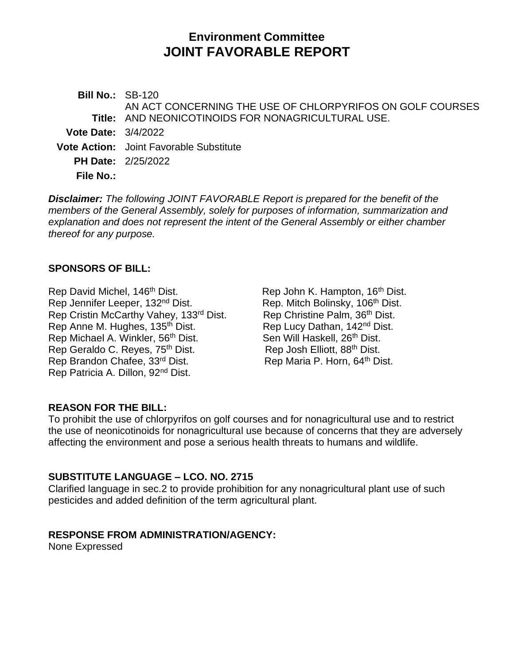# **Environment Committee JOINT FAVORABLE REPORT**

**Bill No.:** SB-120 **Title:** AND NEONICOTINOIDS FOR NONAGRICULTURAL USE. AN ACT CONCERNING THE USE OF CHLORPYRIFOS ON GOLF COURSES **Vote Date:** 3/4/2022 **Vote Action:** Joint Favorable Substitute **PH Date:** 2/25/2022 **File No.:**

*Disclaimer: The following JOINT FAVORABLE Report is prepared for the benefit of the members of the General Assembly, solely for purposes of information, summarization and explanation and does not represent the intent of the General Assembly or either chamber thereof for any purpose.*

## **SPONSORS OF BILL:**

Rep David Michel, 146<sup>th</sup> Dist. Rep John K. Hampton, 16<sup>th</sup> Dist. Rep Jennifer Leeper, 132<sup>nd</sup> Dist. Rep. Mitch Bolinsky, 106<sup>th</sup> Dist.<br>Rep Cristin McCarthy Vahey, 133<sup>rd</sup> Dist. Rep Christine Palm, 36<sup>th</sup> Dist. Rep Cristin McCarthy Vahey, 133rd Dist. Rep Anne M. Hughes, 135<sup>th</sup> Dist. Rep Lucy Dathan, 142<sup>nd</sup> Dist. Rep Michael A. Winkler, 56 Rep Geraldo C. Reyes, 75<sup>th</sup> Dist. Rep Brandon Chafee, 33<sup>rd</sup> Dist. Rep Maria P. Horn, 64<sup>th</sup> Dist. Rep Patricia A. Dillon, 92nd Dist.

Sen Will Haskell, 26<sup>th</sup> Dist.<br>Rep Josh Elliott, 88<sup>th</sup> Dist.

## **REASON FOR THE BILL:**

To prohibit the use of chlorpyrifos on golf courses and for nonagricultural use and to restrict the use of neonicotinoids for nonagricultural use because of concerns that they are adversely affecting the environment and pose a serious health threats to humans and wildlife.

#### **SUBSTITUTE LANGUAGE – LCO. NO. 2715**

Clarified language in sec.2 to provide prohibition for any nonagricultural plant use of such pesticides and added definition of the term agricultural plant.

#### **RESPONSE FROM ADMINISTRATION/AGENCY:**

None Expressed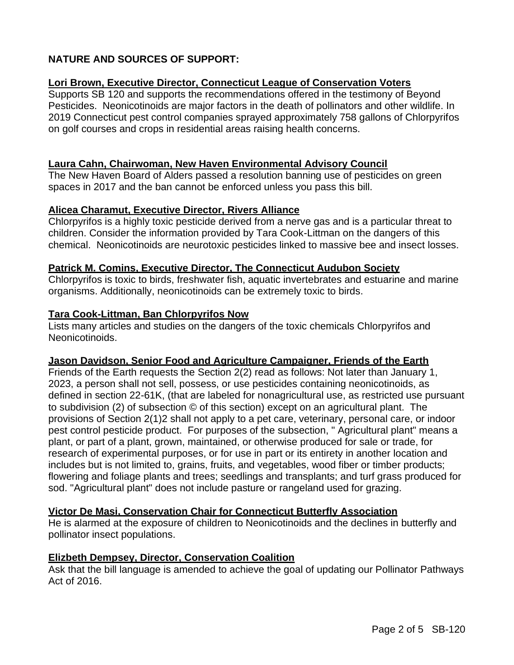# **NATURE AND SOURCES OF SUPPORT:**

# **Lori Brown, Executive Director, Connecticut League of Conservation Voters**

Supports SB 120 and supports the recommendations offered in the testimony of Beyond Pesticides. Neonicotinoids are major factors in the death of pollinators and other wildlife. In 2019 Connecticut pest control companies sprayed approximately 758 gallons of Chlorpyrifos on golf courses and crops in residential areas raising health concerns.

#### **Laura Cahn, Chairwoman, New Haven Environmental Advisory Council**

The New Haven Board of Alders passed a resolution banning use of pesticides on green spaces in 2017 and the ban cannot be enforced unless you pass this bill.

#### **Alicea Charamut, Executive Director, Rivers Alliance**

Chlorpyrifos is a highly toxic pesticide derived from a nerve gas and is a particular threat to children. Consider the information provided by Tara Cook-Littman on the dangers of this chemical. Neonicotinoids are neurotoxic pesticides linked to massive bee and insect losses.

#### **Patrick M. Comins, Executive Director, The Connecticut Audubon Society**

Chlorpyrifos is toxic to birds, freshwater fish, aquatic invertebrates and estuarine and marine organisms. Additionally, neonicotinoids can be extremely toxic to birds.

#### **Tara Cook-Littman, Ban Chlorpyrifos Now**

Lists many articles and studies on the dangers of the toxic chemicals Chlorpyrifos and Neonicotinoids.

#### **Jason Davidson, Senior Food and Agriculture Campaigner, Friends of the Earth**

Friends of the Earth requests the Section 2(2) read as follows: Not later than January 1, 2023, a person shall not sell, possess, or use pesticides containing neonicotinoids, as defined in section 22-61K, (that are labeled for nonagricultural use, as restricted use pursuant to subdivision (2) of subsection © of this section) except on an agricultural plant. The provisions of Section 2(1)2 shall not apply to a pet care, veterinary, personal care, or indoor pest control pesticide product. For purposes of the subsection, " Agricultural plant" means a plant, or part of a plant, grown, maintained, or otherwise produced for sale or trade, for research of experimental purposes, or for use in part or its entirety in another location and includes but is not limited to, grains, fruits, and vegetables, wood fiber or timber products; flowering and foliage plants and trees; seedlings and transplants; and turf grass produced for sod. "Agricultural plant" does not include pasture or rangeland used for grazing.

## **Victor De Masi, Conservation Chair for Connecticut Butterfly Association**

He is alarmed at the exposure of children to Neonicotinoids and the declines in butterfly and pollinator insect populations.

#### **Elizbeth Dempsey, Director, Conservation Coalition**

Ask that the bill language is amended to achieve the goal of updating our Pollinator Pathways Act of 2016.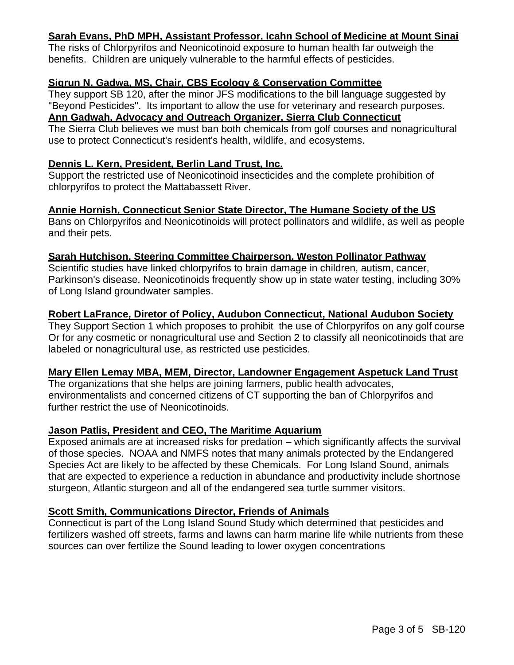# **Sarah Evans, PhD MPH, Assistant Professor, Icahn School of Medicine at Mount Sinai**

The risks of Chlorpyrifos and Neonicotinoid exposure to human health far outweigh the benefits. Children are uniquely vulnerable to the harmful effects of pesticides.

## **Sigrun N. Gadwa, MS, Chair, CBS Ecology & Conservation Committee**

They support SB 120, after the minor JFS modifications to the bill language suggested by "Beyond Pesticides". Its important to allow the use for veterinary and research purposes.

# **Ann Gadwah, Advocacy and Outreach Organizer, Sierra Club Connecticut**

The Sierra Club believes we must ban both chemicals from golf courses and nonagricultural use to protect Connecticut's resident's health, wildlife, and ecosystems.

## **Dennis L. Kern, President, Berlin Land Trust, Inc.**

Support the restricted use of Neonicotinoid insecticides and the complete prohibition of chlorpyrifos to protect the Mattabassett River.

# **Annie Hornish, Connecticut Senior State Director, The Humane Society of the US**

Bans on Chlorpyrifos and Neonicotinoids will protect pollinators and wildlife, as well as people and their pets.

# **Sarah Hutchison, Steering Committee Chairperson, Weston Pollinator Pathway**

Scientific studies have linked chlorpyrifos to brain damage in children, autism, cancer, Parkinson's disease. Neonicotinoids frequently show up in state water testing, including 30% of Long Island groundwater samples.

# **Robert LaFrance, Diretor of Policy, Audubon Connecticut, National Audubon Society**

They Support Section 1 which proposes to prohibit the use of Chlorpyrifos on any golf course Or for any cosmetic or nonagricultural use and Section 2 to classify all neonicotinoids that are labeled or nonagricultural use, as restricted use pesticides.

## **Mary Ellen Lemay MBA, MEM, Director, Landowner Engagement Aspetuck Land Trust**

The organizations that she helps are joining farmers, public health advocates, environmentalists and concerned citizens of CT supporting the ban of Chlorpyrifos and further restrict the use of Neonicotinoids.

## **Jason Patlis, President and CEO, The Maritime Aquarium**

Exposed animals are at increased risks for predation – which significantly affects the survival of those species. NOAA and NMFS notes that many animals protected by the Endangered Species Act are likely to be affected by these Chemicals. For Long Island Sound, animals that are expected to experience a reduction in abundance and productivity include shortnose sturgeon, Atlantic sturgeon and all of the endangered sea turtle summer visitors.

# **Scott Smith, Communications Director, Friends of Animals**

Connecticut is part of the Long Island Sound Study which determined that pesticides and fertilizers washed off streets, farms and lawns can harm marine life while nutrients from these sources can over fertilize the Sound leading to lower oxygen concentrations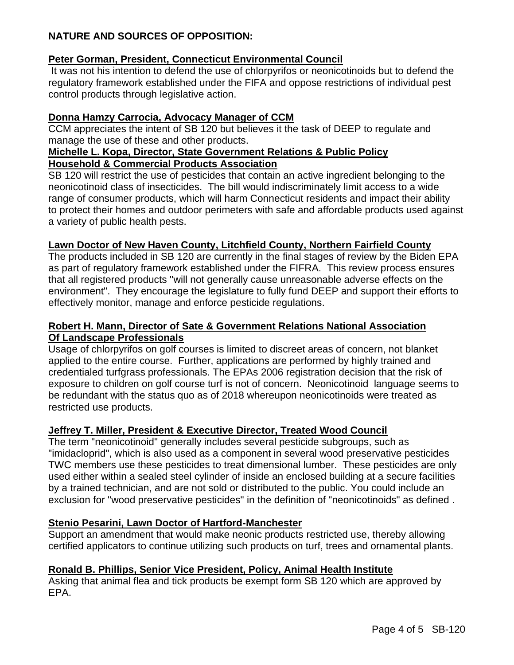# **NATURE AND SOURCES OF OPPOSITION:**

# **Peter Gorman, President, Connecticut Environmental Council**

It was not his intention to defend the use of chlorpyrifos or neonicotinoids but to defend the regulatory framework established under the FIFA and oppose restrictions of individual pest control products through legislative action.

# **Donna Hamzy Carrocia, Advocacy Manager of CCM**

CCM appreciates the intent of SB 120 but believes it the task of DEEP to regulate and manage the use of these and other products.

#### **Michelle L. Kopa, Director, State Government Relations & Public Policy Household & Commercial Products Association**

SB 120 will restrict the use of pesticides that contain an active ingredient belonging to the neonicotinoid class of insecticides. The bill would indiscriminately limit access to a wide range of consumer products, which will harm Connecticut residents and impact their ability to protect their homes and outdoor perimeters with safe and affordable products used against a variety of public health pests.

# **Lawn Doctor of New Haven County, Litchfield County, Northern Fairfield County**

The products included in SB 120 are currently in the final stages of review by the Biden EPA as part of regulatory framework established under the FIFRA. This review process ensures that all registered products "will not generally cause unreasonable adverse effects on the environment". They encourage the legislature to fully fund DEEP and support their efforts to effectively monitor, manage and enforce pesticide regulations.

## **Robert H. Mann, Director of Sate & Government Relations National Association Of Landscape Professionals**

Usage of chlorpyrifos on golf courses is limited to discreet areas of concern, not blanket applied to the entire course. Further, applications are performed by highly trained and credentialed turfgrass professionals. The EPAs 2006 registration decision that the risk of exposure to children on golf course turf is not of concern. Neonicotinoid language seems to be redundant with the status quo as of 2018 whereupon neonicotinoids were treated as restricted use products.

## **Jeffrey T. Miller, President & Executive Director, Treated Wood Council**

The term "neonicotinoid" generally includes several pesticide subgroups, such as "imidacloprid", which is also used as a component in several wood preservative pesticides TWC members use these pesticides to treat dimensional lumber. These pesticides are only used either within a sealed steel cylinder of inside an enclosed building at a secure facilities by a trained technician, and are not sold or distributed to the public. You could include an exclusion for "wood preservative pesticides" in the definition of "neonicotinoids" as defined .

# **Stenio Pesarini, Lawn Doctor of Hartford-Manchester**

Support an amendment that would make neonic products restricted use, thereby allowing certified applicators to continue utilizing such products on turf, trees and ornamental plants.

## **Ronald B. Phillips, Senior Vice President, Policy, Animal Health Institute**

Asking that animal flea and tick products be exempt form SB 120 which are approved by EPA.